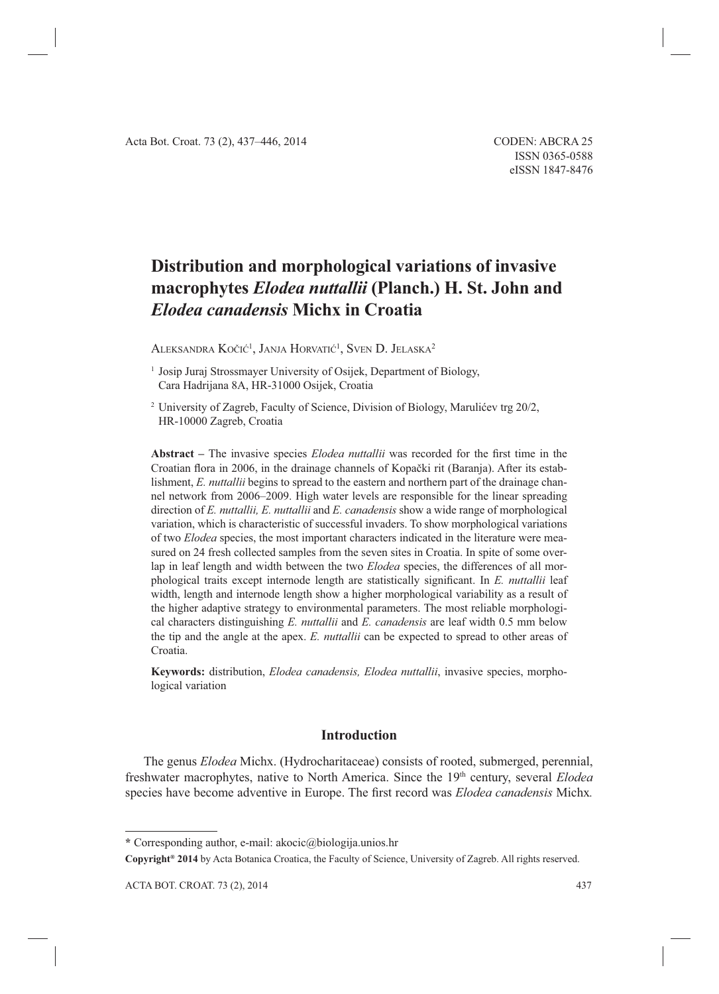# **Distribution and morphological variations of invasive macrophytes** *Elodea nuttallii* **(Planch.) H. St. John and** *Elodea canadensis* **Michx in Croatia**

Aleksandra Kočić<sup>1</sup>, Janja Horvatić<sup>1</sup>, Sven D. Jelaska<sup>2</sup>

<sup>1</sup> Josip Juraj Strossmayer University of Osijek, Department of Biology, Cara Hadrijana 8A, HR-31000 Osijek, Croatia

2 University of Zagreb, Faculty of Science, Division of Biology, Marulićev trg 20/2, HR-10000 Zagreb, Croatia

**Abstract** – The invasive species *Elodea nuttallii* was recorded for the first time in the Croatian flora in 2006, in the drainage channels of Kopački rit (Baranja). After its establishment, *E. nuttallii* begins to spread to the eastern and northern part of the drainage channel network from 2006–2009. High water levels are responsible for the linear spreading direction of *E. nuttallii, E. nuttallii* and *E. canadensis* show a wide range of morphological variation, which is characteristic of successful invaders. To show morphological variations of two *Elodea* species, the most important characters indicated in the literature were measured on 24 fresh collected samples from the seven sites in Croatia. In spite of some overlap in leaf length and width between the two *Elodea* species, the differences of all morphological traits except internode length are statistically significant. In *E. nuttallii* leaf width, length and internode length show a higher morphological variability as a result of the higher adaptive strategy to environmental parameters. The most reliable morphological characters distinguishing *E. nuttallii* and *E. canadensis* are leaf width 0.5 mm below the tip and the angle at the apex. *E. nuttallii* can be expected to spread to other areas of Croatia.

**Keywords:** distribution, *Elodea canadensis, Elodea nuttallii*, invasive species, morphological variation

# **Introduction**

The genus *Elodea* Michx. (Hydrocharitaceae) consists of rooted, submerged, perennial, freshwater macrophytes, native to North America. Since the 19th century, several *Elodea* species have become adventive in Europe. The first record was *Elodea canadensis* Michx.

**<sup>\*</sup>** Corresponding author, e-mail: akocic@biologija.unios.hr

**Copyright® 2014** by Acta Botanica Croatica, the Faculty of Science, University of Zagreb. All rights reserved.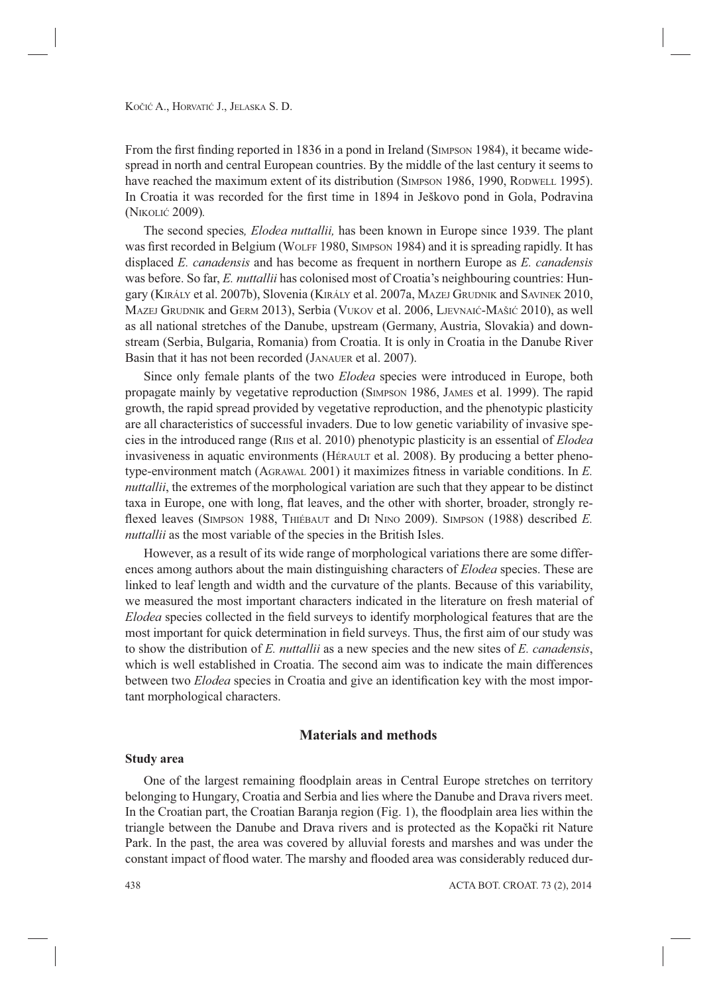From the first finding reported in 1836 in a pond in Ireland (SIMPSON 1984), it became widespread in north and central European countries. By the middle of the last century it seems to have reached the maximum extent of its distribution (SIMPSON 1986, 1990, RODWELL 1995). In Croatia it was recorded for the first time in 1894 in Ješkovo pond in Gola, Podravina (NIKOLIĆ 2009)*.*

The second species*, Elodea nuttallii,* has been known in Europe since 1939. The plant was first recorded in Belgium (WOLFF 1980, SIMPSON 1984) and it is spreading rapidly. It has displaced *E. canadensis* and has become as frequent in northern Europe as *E. canadensis* was before. So far, *E. nuttallii* has colonised most of Croatia's neighbouring countries: Hungary (KIRÁLY et al. 2007b), Slovenia (KIRÁLY et al. 2007a, MAZEJ GRUDNIK and SAVINEK 2010, MAZEJ GRUDNIK and GERM 2013), Serbia (VUKOV et al. 2006, LJEVNAIĆ-MAŠIĆ 2010), as well as all national stretches of the Danube, upstream (Germany, Austria, Slovakia) and downstream (Serbia, Bulgaria, Romania) from Croatia. It is only in Croatia in the Danube River Basin that it has not been recorded (JANAUER et al. 2007).

Since only female plants of the two *Elodea* species were introduced in Europe, both propagate mainly by vegetative reproduction (SIMPSON 1986, JAMES et al. 1999). The rapid growth, the rapid spread provided by vegetative reproduction, and the phenotypic plasticity are all characteristics of successful invaders. Due to low genetic variability of invasive species in the introduced range (RIIS et al. 2010) phenotypic plasticity is an essential of *Elodea* invasiveness in aquatic environments (HÉRAULT et al. 2008). By producing a better phenotype-environment match (AGRAWAL 2001) it maximizes fitness in variable conditions. In E. *nuttallii*, the extremes of the morphological variation are such that they appear to be distinct taxa in Europe, one with long, flat leaves, and the other with shorter, broader, strongly reflexed leaves (SIMPSON 1988, THIÉBAUT and DI NINO 2009). SIMPSON (1988) described *E*. *nuttallii* as the most variable of the species in the British Isles.

However, as a result of its wide range of morphological variations there are some differences among authors about the main distinguishing characters of *Elodea* species. These are linked to leaf length and width and the curvature of the plants. Because of this variability, we measured the most important characters indicated in the literature on fresh material of *Elodea* species collected in the field surveys to identify morphological features that are the most important for quick determination in field surveys. Thus, the first aim of our study was to show the distribution of *E. nuttallii* as a new species and the new sites of *E. canadensis*, which is well established in Croatia. The second aim was to indicate the main differences between two *Elodea* species in Croatia and give an identification key with the most important morphological characters.

# **Materials and methods**

#### **Study area**

One of the largest remaining floodplain areas in Central Europe stretches on territory belonging to Hungary, Croatia and Serbia and lies where the Danube and Drava rivers meet. In the Croatian part, the Croatian Baranja region (Fig. 1), the floodplain area lies within the triangle between the Danube and Drava rivers and is protected as the Kopački rit Nature Park. In the past, the area was covered by alluvial forests and marshes and was under the constant impact of flood water. The marshy and flooded area was considerably reduced dur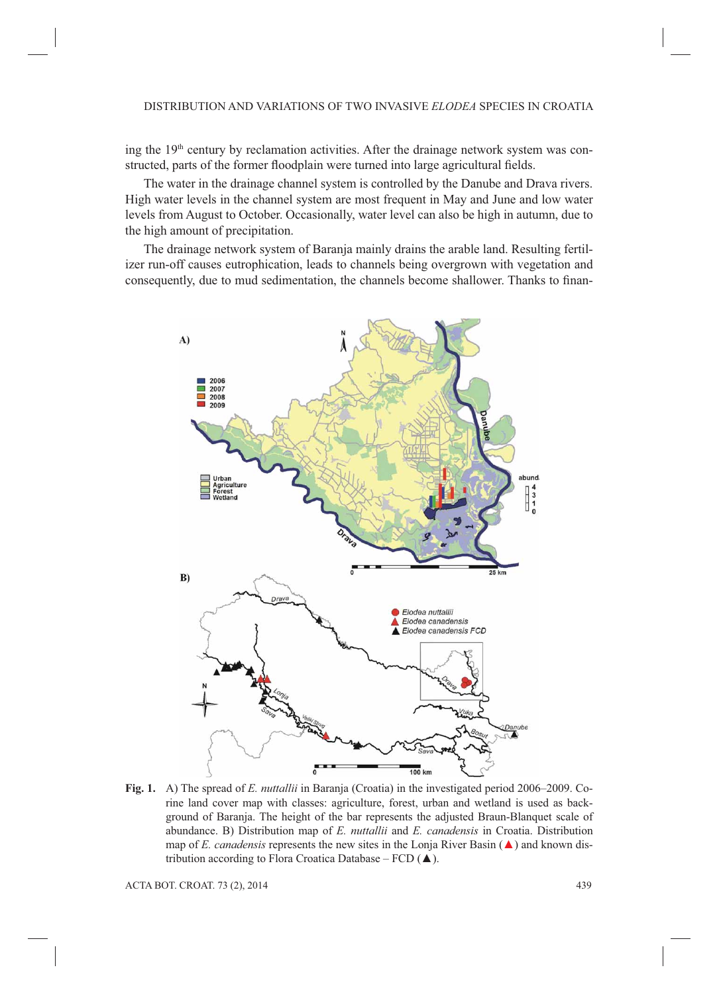ing the  $19<sup>th</sup>$  century by reclamation activities. After the drainage network system was constructed, parts of the former floodplain were turned into large agricultural fields.

The water in the drainage channel system is controlled by the Danube and Drava rivers. High water levels in the channel system are most frequent in May and June and low water levels from August to October. Occasionally, water level can also be high in autumn, due to the high amount of precipitation.

The drainage network system of Baranja mainly drains the arable land. Resulting fertilizer run-off causes eutrophication, leads to channels being overgrown with vegetation and consequently, due to mud sedimentation, the channels become shallower. Thanks to finan-



**Fig. 1.** A) The spread of *E. nuttallii* in Baranja (Croatia) in the investigated period 2006–2009. Corine land cover map with classes: agriculture, forest, urban and wetland is used as background of Baranja. The height of the bar represents the adjusted Braun-Blanquet scale of abundance. B) Distribution map of *E. nuttallii* and *E. canadensis* in Croatia. Distribution map of *E. canadensis* represents the new sites in the Lonja River Basin  $(\triangle)$  and known distribution according to Flora Croatica Database –  $FCD$  ( $\triangle$ ).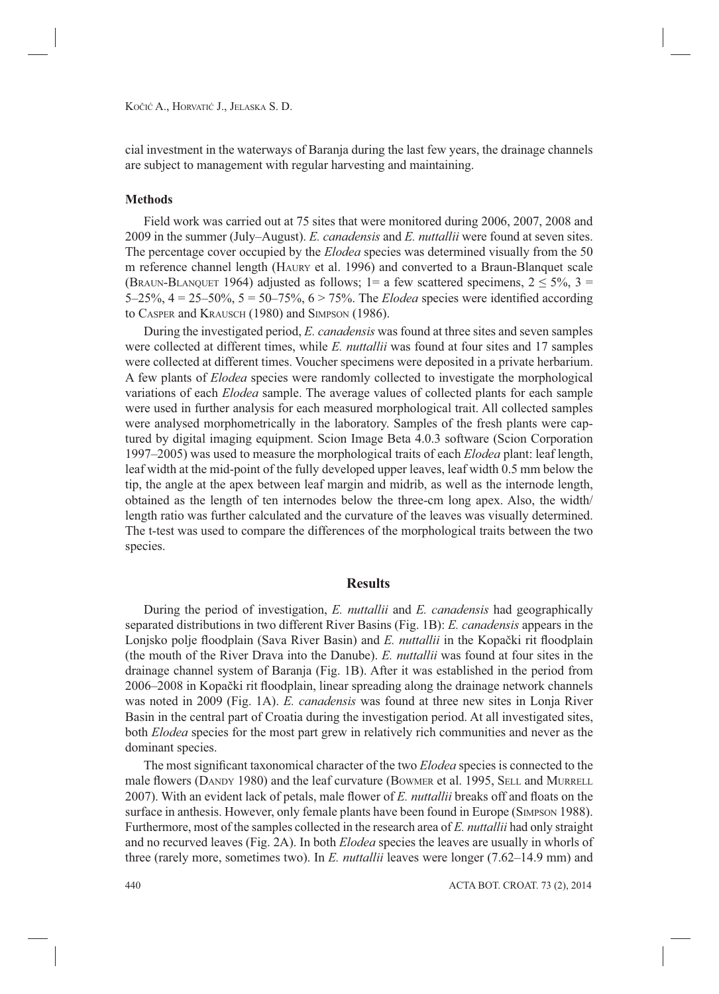cial investment in the waterways of Baranja during the last few years, the drainage channels are subject to management with regular harvesting and maintaining.

#### **Methods**

Field work was carried out at 75 sites that were monitored during 2006, 2007, 2008 and 2009 in the summer (July–August). *E. canadensis* and *E. nuttallii* were found at seven sites. The percentage cover occupied by the *Elodea* species was determined visually from the 50 m reference channel length (HAURY et al. 1996) and converted to a Braun-Blanquet scale (BRAUN-BLANQUET 1964) adjusted as follows; 1= a few scattered specimens,  $2 \le 5\%$ ,  $3 =$ 5–25%,  $4 = 25-50\%$ ,  $5 = 50-75\%$ ,  $6 > 75\%$ . The *Elodea* species were identified according to CASPER and KRAUSCH (1980) and SIMPSON (1986).

During the investigated period, *E. canadensis* was found at three sites and seven samples were collected at different times, while *E. nuttallii* was found at four sites and 17 samples were collected at different times. Voucher specimens were deposited in a private herbarium. A few plants of *Elodea* species were randomly collected to investigate the morphological variations of each *Elodea* sample. The average values of collected plants for each sample were used in further analysis for each measured morphological trait. All collected samples were analysed morphometrically in the laboratory. Samples of the fresh plants were captured by digital imaging equipment. Scion Image Beta 4.0.3 software (Scion Corporation 1997–2005) was used to measure the morphological traits of each *Elodea* plant: leaf length, leaf width at the mid-point of the fully developed upper leaves, leaf width 0.5 mm below the tip, the angle at the apex between leaf margin and midrib, as well as the internode length, obtained as the length of ten internodes below the three-cm long apex. Also, the width/ length ratio was further calculated and the curvature of the leaves was visually determined. The t-test was used to compare the differences of the morphological traits between the two species.

# **Results**

During the period of investigation, *E. nuttallii* and *E. canadensis* had geographically separated distributions in two different River Basins (Fig. 1B): *E. canadensis* appears in the Lonjsko polje floodplain (Sava River Basin) and *E. nuttallii* in the Kopački rit floodplain (the mouth of the River Drava into the Danube). *E. nuttallii* was found at four sites in the drainage channel system of Baranja (Fig. 1B). After it was established in the period from 2006–2008 in Kopački rit floodplain, linear spreading along the drainage network channels was noted in 2009 (Fig. 1A). *E. canadensis* was found at three new sites in Lonja River Basin in the central part of Croatia during the investigation period. At all investigated sites, both *Elodea* species for the most part grew in relatively rich communities and never as the dominant species.

The most significant taxonomical character of the two *Elodea* species is connected to the male flowers (DANDY 1980) and the leaf curvature (BOWMER et al. 1995, SELL and MURRELL 2007). With an evident lack of petals, male flower of *E. nuttallii* breaks off and floats on the surface in anthesis. However, only female plants have been found in Europe (SIMPSON 1988). Furthermore, most of the samples collected in the research area of *E. nuttallii* had only straight and no recurved leaves (Fig. 2A). In both *Elodea* species the leaves are usually in whorls of three (rarely more, sometimes two). In *E. nuttallii* leaves were longer (7.62–14.9 mm) and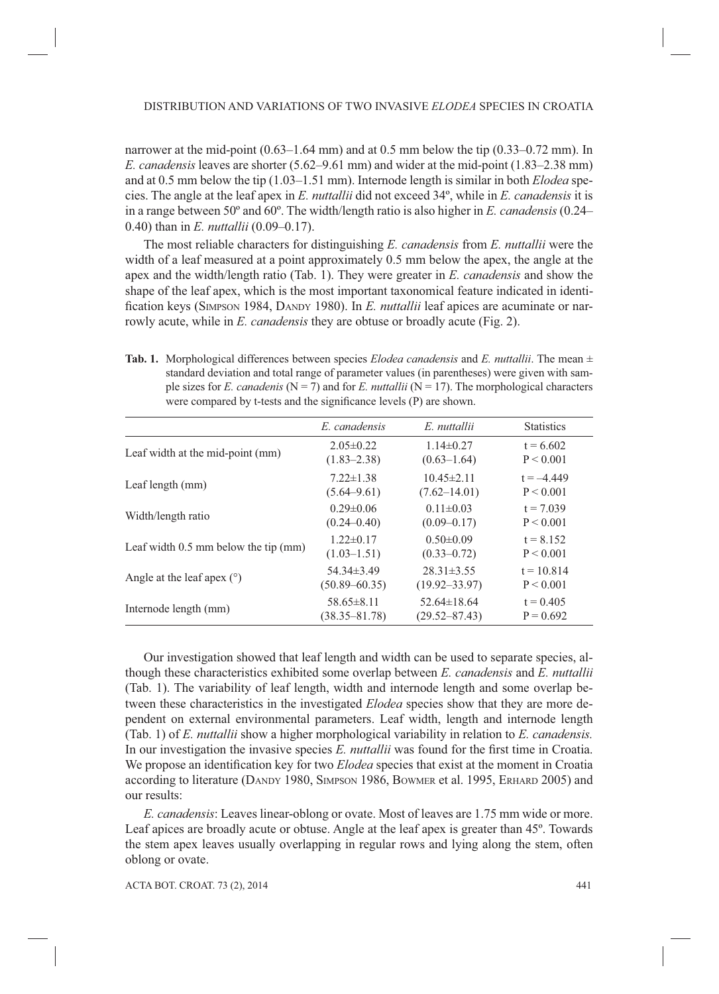narrower at the mid-point (0.63–1.64 mm) and at 0.5 mm below the tip (0.33–0.72 mm). In *E. canadensis* leaves are shorter (5.62–9.61 mm) and wider at the mid-point (1.83–2.38 mm) and at 0.5 mm below the tip (1.03–1.51 mm). Internode length is similar in both *Elodea* species. The angle at the leaf apex in *E. nuttallii* did not exceed 34º, while in *E. canadensis* it is in a range between 50º and 60º. The width/length ratio is also higher in *E. canadensis* (0.24– 0.40) than in *E. nuttallii* (0.09–0.17).

The most reliable characters for distinguishing *E. canadensis* from *E. nuttallii* were the width of a leaf measured at a point approximately 0.5 mm below the apex, the angle at the apex and the width/length ratio (Tab. 1). They were greater in *E. canadensis* and show the shape of the leaf apex, which is the most important taxonomical feature indicated in identification keys (SIMPSON 1984, DANDY 1980). In *E. nuttallii* leaf apices are acuminate or narrowly acute, while in *E. canadensis* they are obtuse or broadly acute (Fig. 2).

**Tab. 1.** Morphological differences between species *Elodea canadensis* and *E. nuttallii*. The mean  $\pm$ standard deviation and total range of parameter values (in parentheses) were given with sample sizes for *E. canadenis* ( $N = 7$ ) and for *E. nuttallii* ( $N = 17$ ). The morphological characters were compared by t-tests and the significance levels (P) are shown.

| E. canadensis     | E nuttallii       | <b>Statistics</b> |
|-------------------|-------------------|-------------------|
| $2.05 \pm 0.22$   | $1.14\pm0.27$     | $t = 6.602$       |
| $(1.83 - 2.38)$   | $(0.63 - 1.64)$   | P < 0.001         |
| $7.22 \pm 1.38$   | $10.45 \pm 2.11$  | $t = -4.449$      |
| $(5.64 - 9.61)$   | $(7.62 - 14.01)$  | P < 0.001         |
| $0.29 \pm 0.06$   | $0.11 \pm 0.03$   | $t = 7.039$       |
| $(0.24 - 0.40)$   | $(0.09 - 0.17)$   | P < 0.001         |
| $1.22 \pm 0.17$   | $0.50 \pm 0.09$   | $t = 8.152$       |
| $(1.03 - 1.51)$   | $(0.33 - 0.72)$   | P < 0.001         |
| $54.34\pm3.49$    | $28.31 \pm 3.55$  | $t = 10.814$      |
| $(50.89 - 60.35)$ | $(19.92 - 33.97)$ | P < 0.001         |
| $58.65\pm8.11$    | $52.64\pm18.64$   | $t = 0.405$       |
| $(38.35 - 81.78)$ | $(29.52 - 87.43)$ | $P = 0.692$       |
|                   |                   |                   |

Our investigation showed that leaf length and width can be used to separate species, although these characteristics exhibited some overlap between *E. canadensis* and *E. nuttallii*  (Tab. 1). The variability of leaf length, width and internode length and some overlap between these characteristics in the investigated *Elodea* species show that they are more dependent on external environmental parameters. Leaf width, length and internode length (Tab. 1) of *E. nuttallii* show a higher morphological variability in relation to *E. canadensis.* In our investigation the invasive species *E. nuttallii* was found for the first time in Croatia. We propose an identification key for two *Elodea* species that exist at the moment in Croatia according to literature (DANDY 1980, SIMPSON 1986, BOWMER et al. 1995, ERHARD 2005) and our results:

*E. canadensis*: Leaves linear-oblong or ovate. Most of leaves are 1.75 mm wide or more. Leaf apices are broadly acute or obtuse. Angle at the leaf apex is greater than 45º. Towards the stem apex leaves usually overlapping in regular rows and lying along the stem, often oblong or ovate.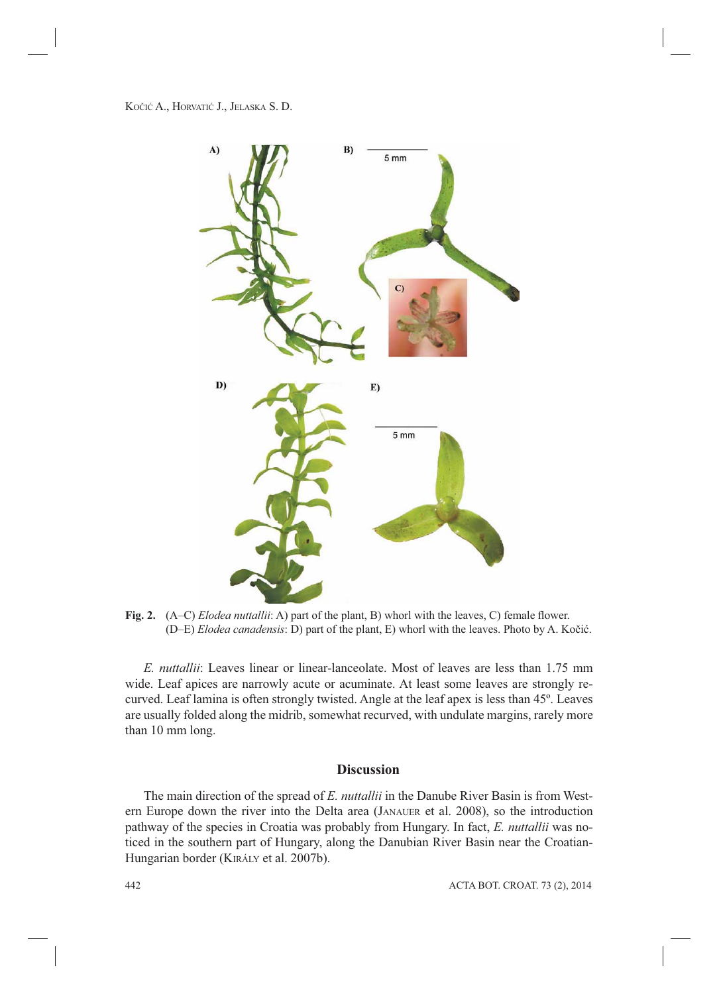

**Fig. 2.** (A–C) *Elodea nuttallii*: A) part of the plant, B) whorl with the leaves, C) female flower. (D–E) *Elodea canadensis*: D) part of the plant, E) whorl with the leaves. Photo by A. Kočić.

*E. nuttallii*: Leaves linear or linear-lanceolate. Most of leaves are less than 1.75 mm wide. Leaf apices are narrowly acute or acuminate. At least some leaves are strongly recurved. Leaf lamina is often strongly twisted. Angle at the leaf apex is less than 45º. Leaves are usually folded along the midrib, somewhat recurved, with undulate margins, rarely more than 10 mm long.

# **Discussion**

The main direction of the spread of *E. nuttallii* in the Danube River Basin is from Western Europe down the river into the Delta area (JANAUER et al. 2008), so the introduction pathway of the species in Croatia was probably from Hungary. In fact, *E. nuttallii* was noticed in the southern part of Hungary, along the Danubian River Basin near the Croatian-Hungarian border (KIRÁLY et al. 2007b).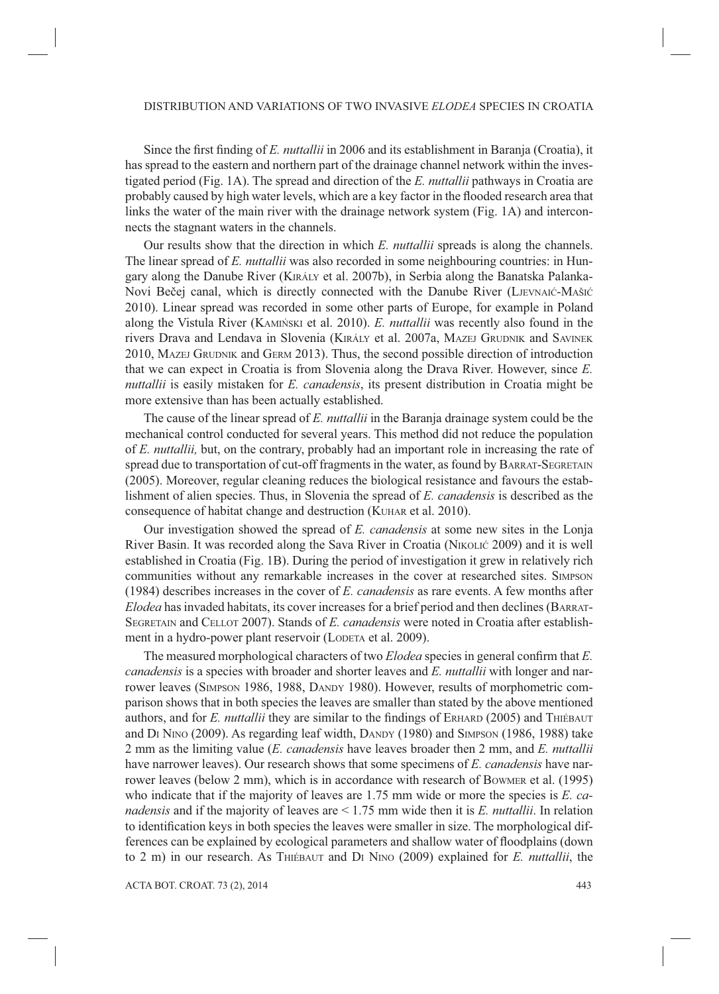Since the first finding of *E. nuttallii* in 2006 and its establishment in Baranja (Croatia), it has spread to the eastern and northern part of the drainage channel network within the investigated period (Fig. 1A). The spread and direction of the *E. nuttallii* pathways in Croatia are probably caused by high water levels, which are a key factor in the flooded research area that links the water of the main river with the drainage network system (Fig. 1A) and interconnects the stagnant waters in the channels.

Our results show that the direction in which *E. nuttallii* spreads is along the channels. The linear spread of *E. nuttallii* was also recorded in some neighbouring countries: in Hungary along the Danube River (KIRÁLY et al. 2007b), in Serbia along the Banatska Palanka-Novi Bečej canal, which is directly connected with the Danube River (LJEVNAIĆ-MAŠIĆ 2010). Linear spread was recorded in some other parts of Europe, for example in Poland along the Vistula River (KAMIŃSKI et al. 2010). *E. nuttallii* was recently also found in the rivers Drava and Lendava in Slovenia (KIRÁLY et al. 2007a, MAZEJ GRUDNIK and SAVINEK 2010, MAZEJ GRUDNIK and GERM 2013). Thus, the second possible direction of introduction that we can expect in Croatia is from Slovenia along the Drava River. However, since *E. nuttallii* is easily mistaken for *E. canadensis*, its present distribution in Croatia might be more extensive than has been actually established.

The cause of the linear spread of *E. nuttallii* in the Baranja drainage system could be the mechanical control conducted for several years. This method did not reduce the population of *E. nuttallii,* but, on the contrary, probably had an important role in increasing the rate of spread due to transportation of cut-off fragments in the water, as found by BARRAT-SEGRETAIN (2005). Moreover, regular cleaning reduces the biological resistance and favours the establishment of alien species. Thus, in Slovenia the spread of *E. canadensis* is described as the consequence of habitat change and destruction (KUHAR et al. 2010).

Our investigation showed the spread of *E. canadensis* at some new sites in the Lonja River Basin. It was recorded along the Sava River in Croatia (NIKOLIĆ 2009) and it is well established in Croatia (Fig. 1B). During the period of investigation it grew in relatively rich communities without any remarkable increases in the cover at researched sites. SIMPSON (1984) describes increases in the cover of *E. canadensis* as rare events. A few months after *Elodea* has invaded habitats, its cover increases for a brief period and then declines (BARRAT-SEGRETAIN and CELLOT 2007). Stands of *E. canadensis* were noted in Croatia after establishment in a hydro-power plant reservoir (LODETA et al. 2009).

The measured morphological characters of two *Elodea* species in general confirm that *E*. *canadensis* is a species with broader and shorter leaves and *E. nuttallii* with longer and narrower leaves (SIMPSON 1986, 1988, DANDY 1980). However, results of morphometric comparison shows that in both species the leaves are smaller than stated by the above mentioned authors, and for *E. nuttallii* they are similar to the findings of ERHARD (2005) and THIÉBAUT and DI NINO (2009). As regarding leaf width, DANDY (1980) and SIMPSON (1986, 1988) take 2 mm as the limiting value (*E. canadensis* have leaves broader then 2 mm, and *E. nuttallii* have narrower leaves). Our research shows that some specimens of *E. canadensis* have narrower leaves (below 2 mm), which is in accordance with research of BOWMER et al. (1995) who indicate that if the majority of leaves are 1.75 mm wide or more the species is *E. canadensis* and if the majority of leaves are < 1.75 mm wide then it is *E. nuttallii*. In relation to identification keys in both species the leaves were smaller in size. The morphological differences can be explained by ecological parameters and shallow water of floodplains (down to 2 m) in our research. As THIÉBAUT and DI NINO (2009) explained for *E. nuttallii*, the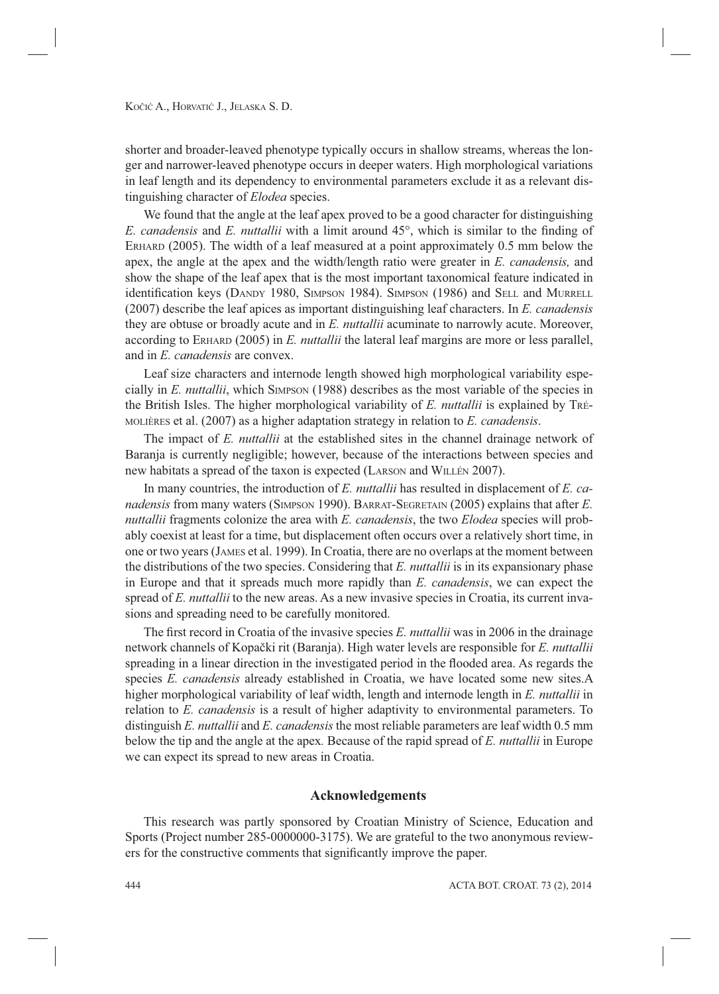shorter and broader-leaved phenotype typically occurs in shallow streams, whereas the longer and narrower-leaved phenotype occurs in deeper waters. High morphological variations in leaf length and its dependency to environmental parameters exclude it as a relevant distinguishing character of *Elodea* species.

We found that the angle at the leaf apex proved to be a good character for distinguishing *E. canadensis* and *E. nuttallii* with a limit around 45°, which is similar to the finding of ERHARD (2005). The width of a leaf measured at a point approximately 0.5 mm below the apex, the angle at the apex and the width/length ratio were greater in *E. canadensis,* and show the shape of the leaf apex that is the most important taxonomical feature indicated in identification keys (DANDY 1980, SIMPSON 1984). SIMPSON (1986) and SELL and MURRELL (2007) describe the leaf apices as important distinguishing leaf characters. In *E. canadensis* they are obtuse or broadly acute and in *E. nuttallii* acuminate to narrowly acute. Moreover, according to ERHARD (2005) in *E. nuttallii* the lateral leaf margins are more or less parallel, and in *E. canadensis* are convex.

Leaf size characters and internode length showed high morphological variability especially in *E. nuttallii*, which SIMPSON (1988) describes as the most variable of the species in the British Isles. The higher morphological variability of *E. nuttallii* is explained by TRÉ-MOLIÈRES et al. (2007) as a higher adaptation strategy in relation to *E. canadensis*.

The impact of *E. nuttallii* at the established sites in the channel drainage network of Baranja is currently negligible; however, because of the interactions between species and new habitats a spread of the taxon is expected (LARSON and WILLÉN 2007).

In many countries, the introduction of *E. nuttallii* has resulted in displacement of *E. canadensis* from many waters (SIMPSON 1990). BARRAT-SEGRETAIN (2005) explains that after *E. nuttallii* fragments colonize the area with *E. canadensis*, the two *Elodea* species will probably coexist at least for a time, but displacement often occurs over a relatively short time, in one or two years (JAMES et al. 1999). In Croatia, there are no overlaps at the moment between the distributions of the two species. Considering that *E. nuttallii* is in its expansionary phase in Europe and that it spreads much more rapidly than *E. canadensis*, we can expect the spread of *E. nuttallii* to the new areas. As a new invasive species in Croatia, its current invasions and spreading need to be carefully monitored.

The first record in Croatia of the invasive species *E. nuttallii* was in 2006 in the drainage network channels of Kopački rit (Baranja). High water levels are responsible for *E. nuttallii*  spreading in a linear direction in the investigated period in the flooded area. As regards the species *E. canadensis* already established in Croatia, we have located some new sites.A higher morphological variability of leaf width, length and internode length in *E. nuttallii* in relation to *E. canadensis* is a result of higher adaptivity to environmental parameters. To distinguish *E. nuttallii* and *E. canadensis* the most reliable parameters are leaf width 0.5 mm below the tip and the angle at the apex*.* Because of the rapid spread of *E. nuttallii* in Europe we can expect its spread to new areas in Croatia.

# **Acknowledgements**

This research was partly sponsored by Croatian Ministry of Science, Education and Sports (Project number 285-0000000-3175). We are grateful to the two anonymous reviewers for the constructive comments that significantly improve the paper.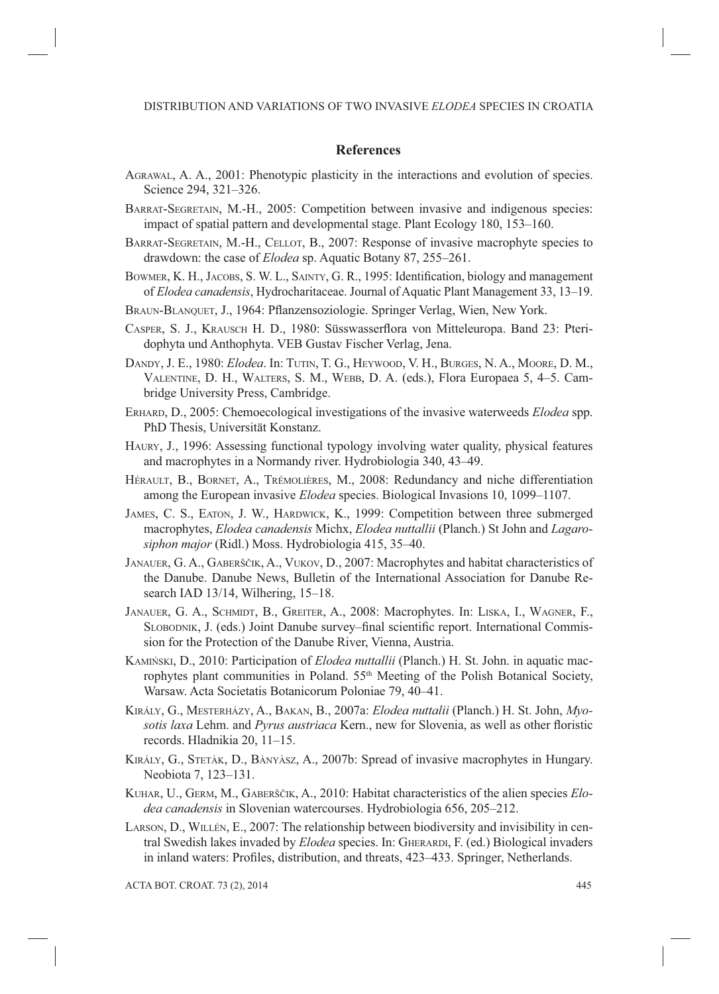# **References**

- AGRAWAL, A. A., 2001: Phenotypic plasticity in the interactions and evolution of species. Science 294, 321–326.
- BARRAT-SEGRETAIN, M.-H., 2005: Competition between invasive and indigenous species: impact of spatial pattern and developmental stage. Plant Ecology 180, 153–160.
- BARRAT-SEGRETAIN, M.-H., CELLOT, B., 2007: Response of invasive macrophyte species to drawdown: the case of *Elodea* sp. Aquatic Botany 87, 255–261.
- BOWMER, K. H., JACOBS, S. W. L., SAINTY, G. R., 1995: Identification, biology and management of *Elodea canadensis*, Hydrocharitaceae. Journal of Aquatic Plant Management 33, 13–19.
- BRAUN-BLANQUET, J., 1964: Pflanzensoziologie. Springer Verlag, Wien, New York.
- CASPER, S. J., KRAUSCH H. D., 1980: Süsswasserflora von Mitteleuropa. Band 23: Pteridophyta und Anthophyta. VEB Gustav Fischer Verlag, Jena.
- DANDY, J. E., 1980: *Elodea*. In: TUTIN, T. G., HEYWOOD, V. H., BURGES, N. A., MOORE, D. M., VALENTINE, D. H., WALTERS, S. M., WEBB, D. A. (eds.), Flora Europaea 5, 4–5. Cambridge University Press, Cambridge.
- ERHARD, D., 2005: Chemoecological investigations of the invasive waterweeds *Elodea* spp. PhD Thesis, Universität Konstanz.
- HAURY, J., 1996: Assessing functional typology involving water quality, physical features and macrophytes in a Normandy river. Hydrobiologia 340, 43–49.
- HÉRAULT, B., BORNET, A., TRÉMOLIÈRES, M., 2008: Redundancy and niche differentiation among the European invasive *Elodea* species. Biological Invasions 10, 1099–1107.
- JAMES, C. S., EATON, J. W., HARDWICK, K., 1999: Competition between three submerged macrophytes, *Elodea canadensis* Michx, *Elodea nuttallii* (Planch.) St John and *Lagarosiphon major* (Ridl.) Moss. Hydrobiologia 415, 35–40.
- JANAUER, G. A., GABERŠČIK, A., VUKOV, D., 2007: Macrophytes and habitat characteristics of the Danube. Danube News, Bulletin of the International Association for Danube Research IAD 13/14, Wilhering, 15–18.
- JANAUER, G. A., SCHMIDT, B., GREITER, A., 2008: Macrophytes. In: LISKA, I., WAGNER, F., SLOBODNIK, J. (eds.) Joint Danube survey–final scientific report. International Commission for the Protection of the Danube River, Vienna, Austria.
- KAMIŃSKI, D., 2010: Participation of *Elodea nuttallii* (Planch.) H. St. John. in aquatic macrophytes plant communities in Poland. 55<sup>th</sup> Meeting of the Polish Botanical Society, Warsaw. Acta Societatis Botanicorum Poloniae 79, 40–41.
- KIRÁLY, G., MESTERHÁZY, A., BAKAN, B., 2007a: *Elodea nuttalii* (Planch.) H. St. John, *Myosotis laxa* Lehm. and *Pyrus austriaca* Kern., new for Slovenia, as well as other floristic records. Hladnikia 20, 11–15.
- KIRÁLY, G., STETÀK, D., BÀNYÀSZ, A., 2007b: Spread of invasive macrophytes in Hungary. Neobiota 7, 123–131.
- KUHAR, U., GERM, M., GABERŠČIK, A., 2010: Habitat characteristics of the alien species *Elodea canadensis* in Slovenian watercourses. Hydrobiologia 656, 205–212.
- LARSON, D., WILLÉN, E., 2007: The relationship between biodiversity and invisibility in central Swedish lakes invaded by *Elodea* species. In: GHERARDI, F. (ed.) Biological invaders in inland waters: Profiles, distribution, and threats, 423–433. Springer, Netherlands.